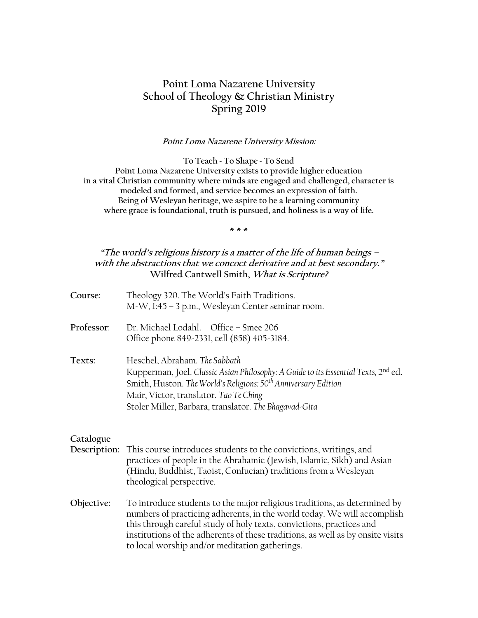# **Point Loma Nazarene University School of Theology & Christian Ministry Spring 2019**

#### **Point Loma Nazarene University Mission:**

**To Teach ~ To Shape ~ To Send Point Loma Nazarene University exists to provide higher education in a vital Christian community where minds are engaged and challenged, character is modeled and formed, and service becomes an expression of faith. Being of Wesleyan heritage, we aspire to be a learning community where grace is foundational, truth is pursued, and holiness is a way of life.**

**\* \* \***

# **"The world's religious history is a matter of the life of human beings – with the abstractions that we concoct derivative and at best secondary." Wilfred Cantwell Smith, What is Scripture?**

| Course:                   | Theology 320. The World's Faith Traditions.<br>M-W, 1:45 - 3 p.m., Wesleyan Center seminar room.                                                                                                                                                                                                                                                                 |
|---------------------------|------------------------------------------------------------------------------------------------------------------------------------------------------------------------------------------------------------------------------------------------------------------------------------------------------------------------------------------------------------------|
| Professor:                | Dr. Michael Lodahl. Office - Smee 206<br>Office phone 849-2331, cell (858) 405-3184.                                                                                                                                                                                                                                                                             |
| Texts:                    | Heschel, Abraham. The Sabbath<br>Kupperman, Joel. Classic Asian Philosophy: A Guide to its Essential Texts, 2nd ed.<br>Smith, Huston. The World's Religions: 50 <sup>th</sup> Anniversary Edition<br>Mair, Victor, translator. Tao Te Ching<br>Stoler Miller, Barbara, translator. The Bhagavad-Gita                                                             |
| Catalogue<br>Description: | This course introduces students to the convictions, writings, and<br>practices of people in the Abrahamic (Jewish, Islamic, Sikh) and Asian<br>(Hindu, Buddhist, Taoist, Confucian) traditions from a Wesleyan<br>theological perspective.                                                                                                                       |
| Objective:                | To introduce students to the major religious traditions, as determined by<br>numbers of practicing adherents, in the world today. We will accomplish<br>this through careful study of holy texts, convictions, practices and<br>institutions of the adherents of these traditions, as well as by onsite visits<br>to local worship and/or meditation gatherings. |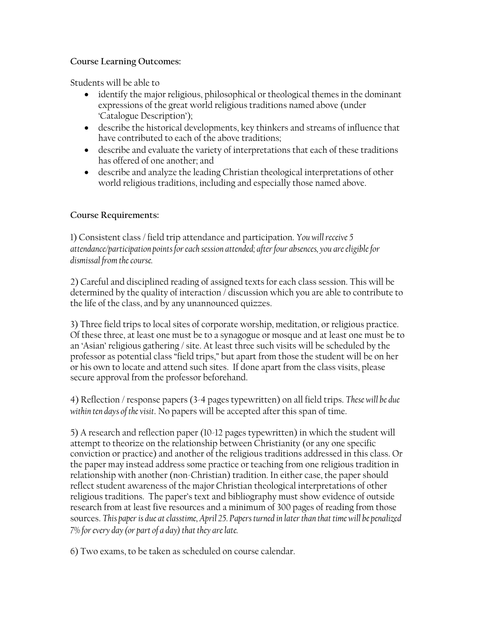# **Course Learning Outcomes:**

Students will be able to

- identify the major religious, philosophical or theological themes in the dominant expressions of the great world religious traditions named above (under 'Catalogue Description');
- describe the historical developments, key thinkers and streams of influence that have contributed to each of the above traditions;
- describe and evaluate the variety of interpretations that each of these traditions has offered of one another; and
- describe and analyze the leading Christian theological interpretations of other world religious traditions, including and especially those named above.

# **Course Requirements:**

1) Consistent class / field trip attendance and participation. *You will receive 5 attendance/participation points for each session attended; after four absences, you are eligible for dismissal from the course.*

2) Careful and disciplined reading of assigned texts for each class session. This will be determined by the quality of interaction / discussion which you are able to contribute to the life of the class, and by any unannounced quizzes.

3) Three field trips to local sites of corporate worship, meditation, or religious practice. Of these three, at least one must be to a synagogue or mosque and at least one must be to an 'Asian' religious gathering / site. At least three such visits will be scheduled by the professor as potential class "field trips," but apart from those the student will be on her or his own to locate and attend such sites. If done apart from the class visits, please secure approval from the professor beforehand.

4) Reflection / response papers (3-4 pages typewritten) on all field trips. *These will be due within ten days of the visit*. No papers will be accepted after this span of time.

5) A research and reflection paper (10-12 pages typewritten) in which the student will attempt to theorize on the relationship between Christianity (or any one specific conviction or practice) and another of the religious traditions addressed in this class. Or the paper may instead address some practice or teaching from one religious tradition in relationship with another (non-Christian) tradition. In either case, the paper should reflect student awareness of the major Christian theological interpretations of other religious traditions. The paper's text and bibliography must show evidence of outside research from at least five resources and a minimum of 300 pages of reading from those sources. *This paper is due at classtime, April 25. Papers turned in later than that time will be penalized 7% for every day (or part of a day) that they are late.*

6) Two exams, to be taken as scheduled on course calendar.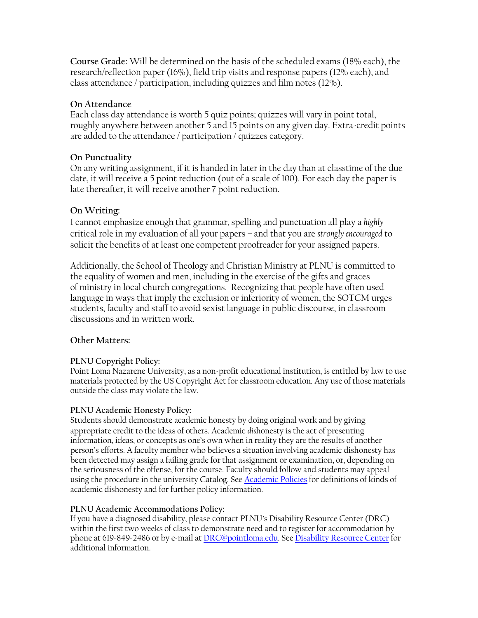**Course Grade:** Will be determined on the basis of the scheduled exams (18% each), the research/reflection paper (16%), field trip visits and response papers (12% each), and class attendance / participation, including quizzes and film notes (12%).

# **On Attendance**

Each class day attendance is worth 5 quiz points; quizzes will vary in point total, roughly anywhere between another 5 and 15 points on any given day. Extra-credit points are added to the attendance / participation / quizzes category.

# **On Punctuality**

On any writing assignment, if it is handed in later in the day than at classtime of the due date, it will receive a 5 point reduction (out of a scale of 100). For each day the paper is late thereafter, it will receive another 7 point reduction.

# **On Writing:**

I cannot emphasize enough that grammar, spelling and punctuation all play a *highly*  critical role in my evaluation of all your papers – and that you are *strongly encouraged* to solicit the benefits of at least one competent proofreader for your assigned papers.

Additionally, the School of Theology and Christian Ministry at PLNU is committed to the equality of women and men, including in the exercise of the gifts and graces of ministry in local church congregations. Recognizing that people have often used language in ways that imply the exclusion or inferiority of women, the SOTCM urges students, faculty and staff to avoid sexist language in public discourse, in classroom discussions and in written work.

# **Other Matters:**

# **PLNU Copyright Policy:**

Point Loma Nazarene University, as a non-profit educational institution, is entitled by law to use materials protected by the US Copyright Act for classroom education. Any use of those materials outside the class may violate the law.

# **PLNU Academic Honesty Policy:**

Students should demonstrate academic honesty by doing original work and by giving appropriate credit to the ideas of others. Academic *dis*honesty is the act of presenting information, ideas, or concepts as one's own when in reality they are the results of another person's efforts. A faculty member who believes a situation involving academic dishonesty has been detected may assign a failing grade for that assignment or examination, or, depending on the seriousness of the offense, for the course. Faculty should follow and students may appeal using the procedure in the university Catalog. See [Academic Policies](http://catalog.pointloma.edu/content.php?catoid=18&navoid=1278) for definitions of kinds of academic dishonesty and for further policy information.

# **PLNU Academic Accommodations Policy:**

If you have a diagnosed disability, please contact PLNU's Disability Resource Center (DRC) within the first two weeks of class to demonstrate need and to register for accommodation by phone at 619-849-2486 or by e-mail at [DRC@pointloma.edu.](mailto:DRC@pointloma.edu) See [Disability Resource Center](http://www.pointloma.edu/experience/offices/administrative-offices/academic-advising-office/disability-resource-center) for additional information.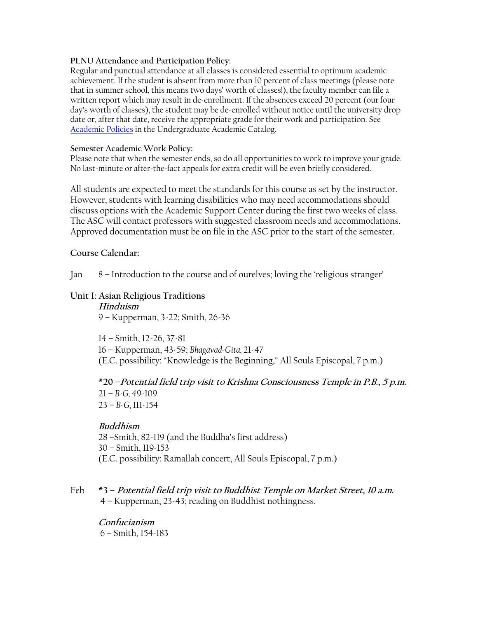#### **PLNU Attendance and Participation Policy:**

Regular and punctual attendance at all classes is considered essential to optimum academic achievement. If the student is absent from more than 10 percent of class meetings (please note that in summer school, this means two days' worth of classes!), the faculty member can file a written report which may result in de-enrollment. If the absences exceed 20 percent (our four day's worth of classes), the student may be de-enrolled without notice until the university drop date or, after that date, receive the appropriate grade for their work and participation. See [Academic Policies](http://catalog.pointloma.edu/content.php?catoid=18&navoid=1278) in the Undergraduate Academic Catalog.

#### **Semester Academic Work Policy:**

Please note that when the semester ends, so do all opportunities to work to improve your grade. No last-minute or after-the-fact appeals for extra credit will be even briefly considered.

All students are expected to meet the standards for this course as set by the instructor. However, students with learning disabilities who may need accommodations should discuss options with the Academic Support Center during the first two weeks of class. The ASC will contact professors with suggested classroom needs and accommodations. Approved documentation must be on file in the ASC prior to the start of the semester.

#### **Course Calendar:**

Jan 8 – Introduction to the course and of ourelves; loving the 'religious stranger'

# **Unit I: Asian Religious Traditions**

**Hinduism** 9 – Kupperman, 3-22; Smith, 26-36

14 – Smith, 12-26, 37-81 16 – Kupperman, 43-59; *Bhagavad-Gita,* 21-47 (E.C. possibility: "Knowledge is the Beginning," All Souls Episcopal, 7 p.m.)

**\*20 –Potential field trip visit to Krishna Consciousness Temple in P.B., 5 p.m.** 21 – *B-G,* 49-109 23 – *B-G,* 111-154

#### **Buddhism**

28 –Smith, 82-119 (and the Buddha's first address) 30 – Smith, 119-153 (E.C. possibility: Ramallah concert, All Souls Episcopal, 7 p.m.)

# Feb **\*3 – Potential field trip visit to Buddhist Temple on Market Street, 10 a.m.** 4 – Kupperman, 23-43; reading on Buddhist nothingness.

**Confucianism** 6 – Smith, 154-183